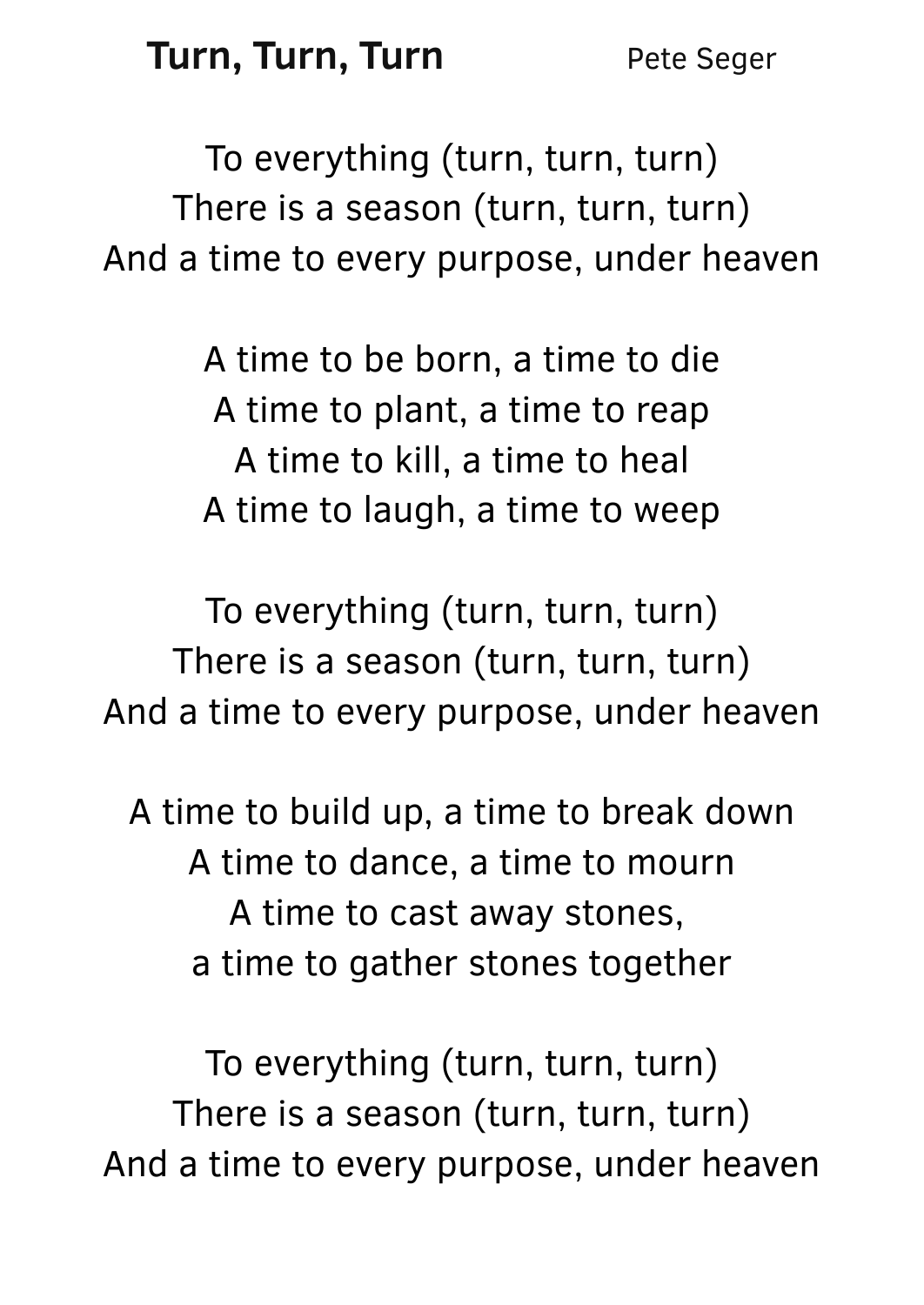**Turn, Turn, Turn** Pete Seger

To everything (turn, turn, turn) There is a season (turn, turn, turn) And a time to every purpose, under heaven

> A time to be born, a time to die A time to plant, a time to reap A time to kill, a time to heal A time to laugh, a time to weep

To everything (turn, turn, turn) There is a season (turn, turn, turn) And a time to every purpose, under heaven

A time to build up, a time to break down A time to dance, a time to mourn A time to cast away stones, a time to gather stones together

To everything (turn, turn, turn) There is a season (turn, turn, turn) And a time to every purpose, under heaven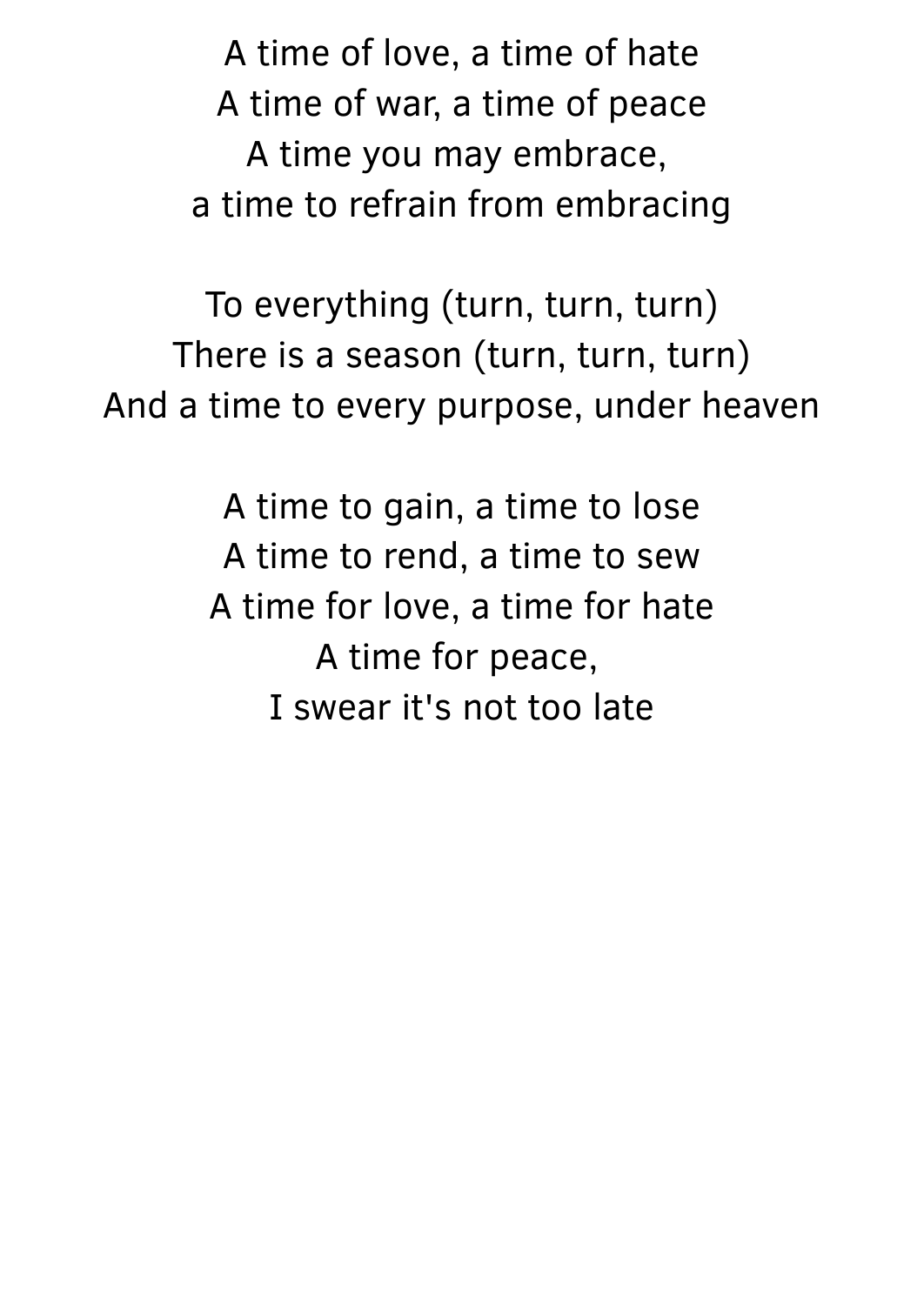A time of love, a time of hate A time of war, a time of peace A time you may embrace, a time to refrain from embracing

To everything (turn, turn, turn) There is a season (turn, turn, turn) And a time to every purpose, under heaven

> A time to gain, a time to lose A time to rend, a time to sew A time for love, a time for hate A time for peace, I swear it's not too late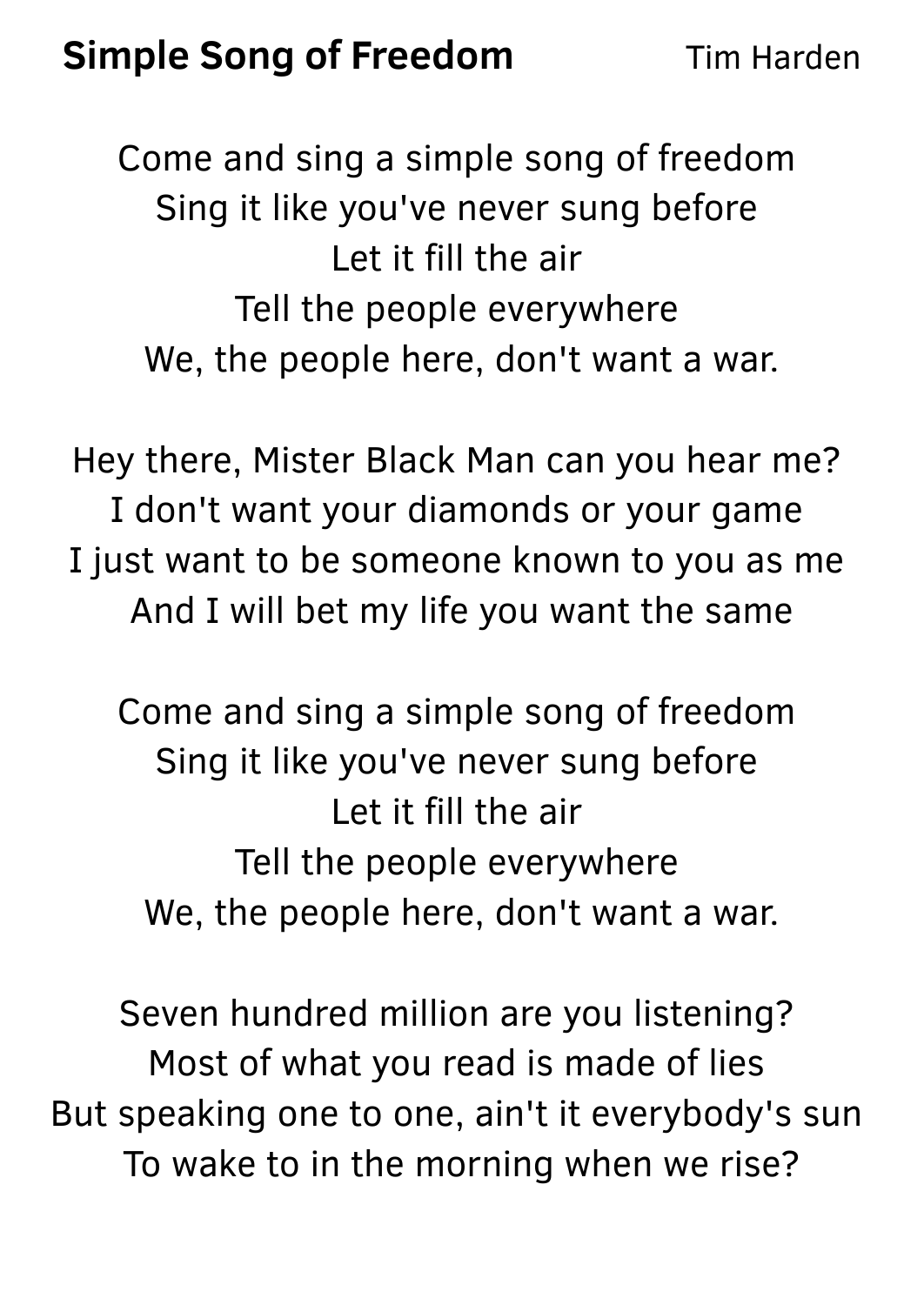## **Simple Song of Freedom** Tim Harden

Come and sing a simple song of freedom Sing it like you've never sung before Let it fill the air Tell the people everywhere We, the people here, don't want a war.

Hey there, Mister Black Man can you hear me? I don't want your diamonds or your game I just want to be someone known to you as me And I will bet my life you want the same

Come and sing a simple song of freedom Sing it like you've never sung before Let it fill the air Tell the people everywhere We, the people here, don't want a war.

Seven hundred million are you listening? Most of what you read is made of lies But speaking one to one, ain't it everybody's sun To wake to in the morning when we rise?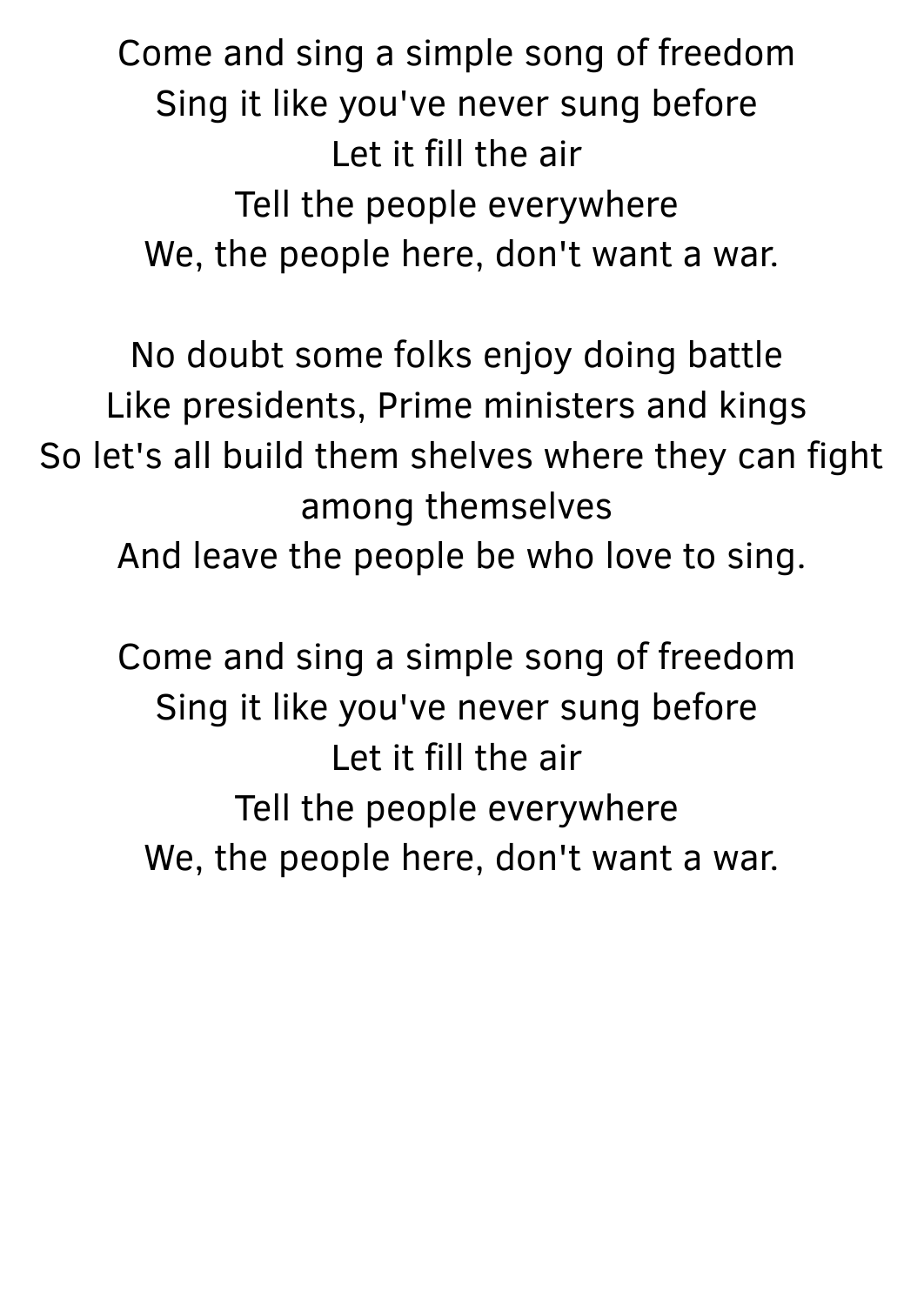Come and sing a simple song of freedom Sing it like you've never sung before Let it fill the air Tell the people everywhere We, the people here, don't want a war.

No doubt some folks enjoy doing battle Like presidents, Prime ministers and kings So let's all build them shelves where they can fight among themselves

And leave the people be who love to sing.

Come and sing a simple song of freedom Sing it like you've never sung before Let it fill the air Tell the people everywhere We, the people here, don't want a war.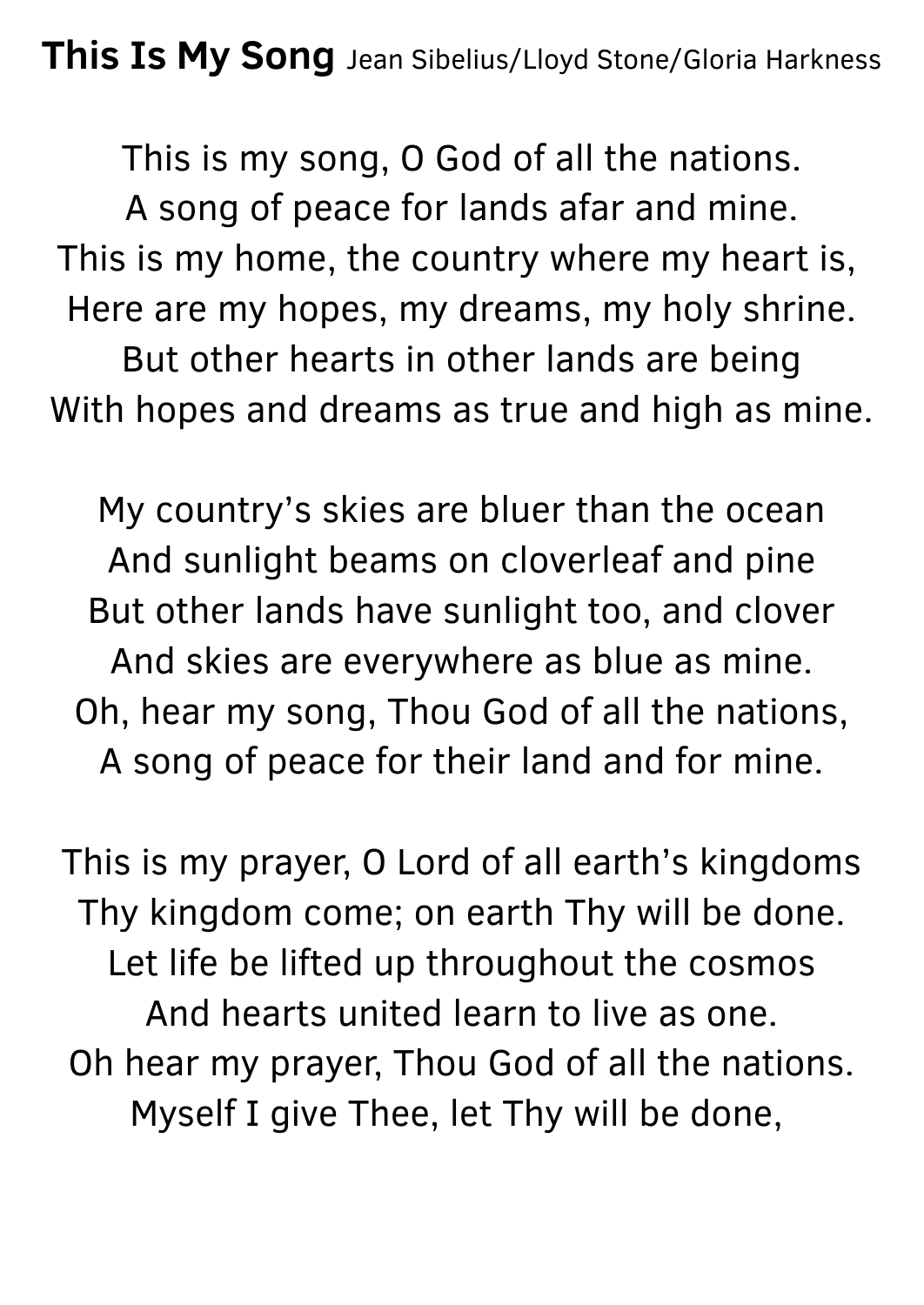**This Is My Song** Jean Sibelius/Lloyd Stone/Gloria Harkness

This is my song, O God of all the nations. A song of peace for lands afar and mine. This is my home, the country where my heart is, Here are my hopes, my dreams, my holy shrine. But other hearts in other lands are being With hopes and dreams as true and high as mine.

My country's skies are bluer than the ocean And sunlight beams on cloverleaf and pine But other lands have sunlight too, and clover And skies are everywhere as blue as mine. Oh, hear my song, Thou God of all the nations, A song of peace for their land and for mine.

This is my prayer, O Lord of all earth's kingdoms Thy kingdom come; on earth Thy will be done. Let life be lifted up throughout the cosmos And hearts united learn to live as one. Oh hear my prayer, Thou God of all the nations. Myself I give Thee, let Thy will be done,